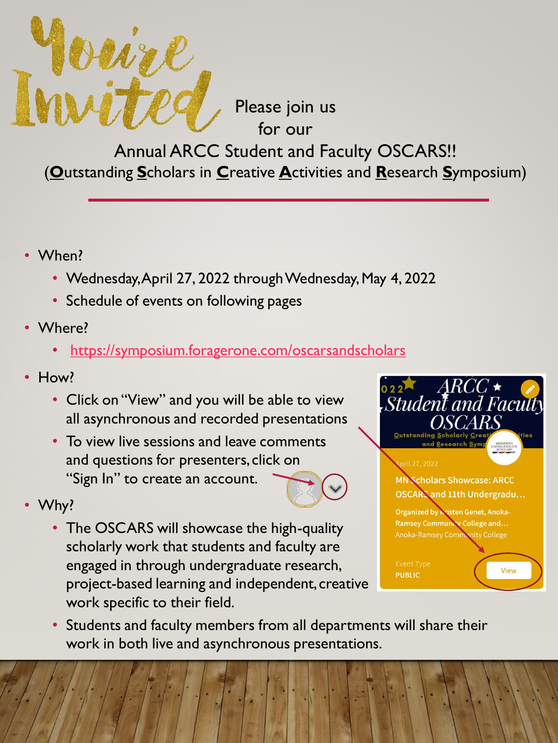

Please join us for our

Annual ARCC Student and Faculty OSCARS!! (**O**utstanding **S**cholars in **C**reative **A**ctivities and **R**esearch **S**ymposium)

- When?
	- Wednesday, April 27, 2022 through Wednesday, May 4, 2022
	- Schedule of events on following pages
- Where?
	- <https://symposium.foragerone.com/oscarsandscholars>
- How?
	- Click on "View" and you will be able to view all asynchronous and recorded presentations
	- To view live sessions and leave comments and questions for presenters, click on "Sign In" to create an account.



- Why?
	- The OSCARS will showcase the high-quality scholarly work that students and faculty are engaged in through undergraduate research, project-based learning and independent, creative work specific to their field.



• Students and faculty members from all departments will share their work in both live and asynchronous presentations.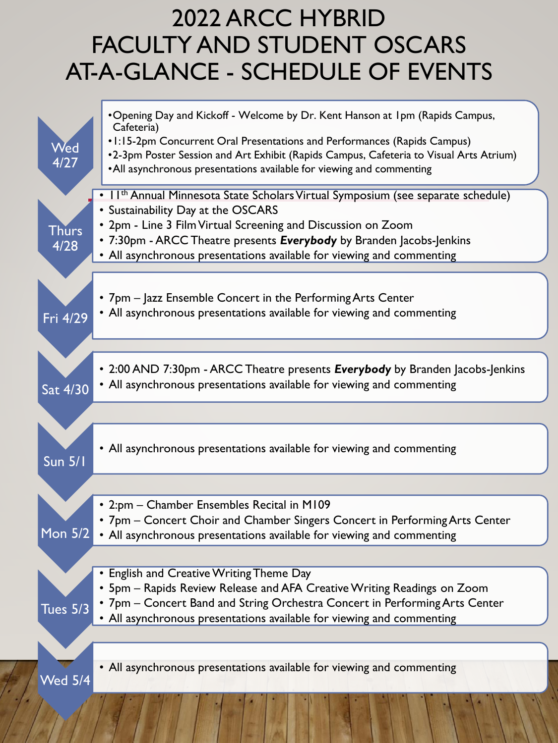#### 2022 ARCC HYBRID FACULTY AND STUDENT OSCARS AT-A-GLANCE - SCHEDULE OF EVENTS

| Wed<br>4/27          | •Opening Day and Kickoff - Welcome by Dr. Kent Hanson at 1pm (Rapids Campus,<br>Cafeteria)<br>• 1:15-2pm Concurrent Oral Presentations and Performances (Rapids Campus)<br>•2-3pm Poster Session and Art Exhibit (Rapids Campus, Cafeteria to Visual Arts Atrium)<br>•All asynchronous presentations available for viewing and commenting            |
|----------------------|------------------------------------------------------------------------------------------------------------------------------------------------------------------------------------------------------------------------------------------------------------------------------------------------------------------------------------------------------|
| Thurs<br>4/28        | • I I <sup>th</sup> Annual Minnesota State Scholars Virtual Symposium (see separate schedule)<br>• Sustainability Day at the OSCARS<br>• 2pm - Line 3 Film Virtual Screening and Discussion on Zoom<br>• 7:30pm - ARCC Theatre presents Everybody by Branden Jacobs-Jenkins<br>• All asynchronous presentations available for viewing and commenting |
| Fri 4/29             | • 7pm – Jazz Ensemble Concert in the Performing Arts Center<br>• All asynchronous presentations available for viewing and commenting                                                                                                                                                                                                                 |
| Sat 4/30             | • 2:00 AND 7:30pm - ARCC Theatre presents Everybody by Branden Jacobs-Jenkins<br>• All asynchronous presentations available for viewing and commenting                                                                                                                                                                                               |
|                      |                                                                                                                                                                                                                                                                                                                                                      |
| <b>Sun 5/1</b>       | • All asynchronous presentations available for viewing and commenting                                                                                                                                                                                                                                                                                |
|                      |                                                                                                                                                                                                                                                                                                                                                      |
| Mon $\overline{5}/2$ | • 2:pm - Chamber Ensembles Recital in M109<br>• 7pm – Concert Choir and Chamber Singers Concert in Performing Arts Center<br>• All asynchronous presentations available for viewing and commenting                                                                                                                                                   |
|                      |                                                                                                                                                                                                                                                                                                                                                      |
| Tues 5/3             | • English and Creative Writing Theme Day<br>• 5pm - Rapids Review Release and AFA Creative Writing Readings on Zoom<br>• 7pm - Concert Band and String Orchestra Concert in Performing Arts Center<br>• All asynchronous presentations available for viewing and commenting                                                                          |
|                      |                                                                                                                                                                                                                                                                                                                                                      |
| Wed 5/ <u>4</u>      | • All asynchronous presentations available for viewing and commenting                                                                                                                                                                                                                                                                                |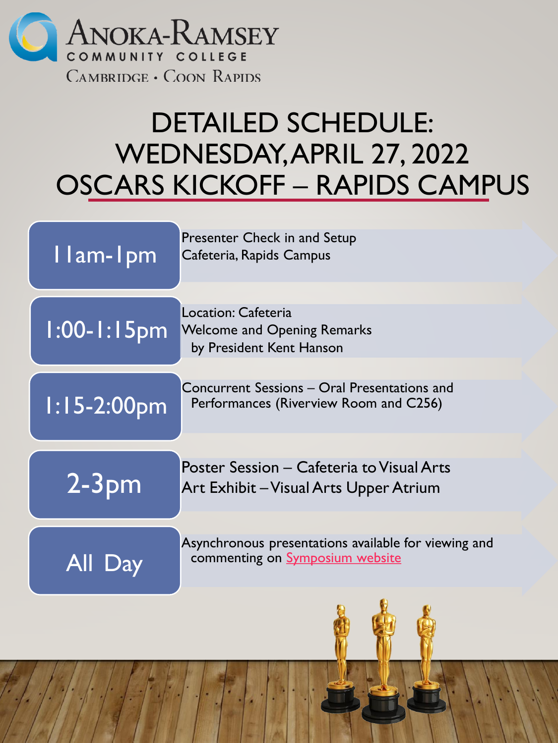

# DETAILED SCHEDULE: WEDNESDAY, APRIL 27, 2022 OSCARS KICKOFF – RAPIDS CAMPUS

| Ilam-Ipm         | Presenter Check in and Setup<br>Cafeteria, Rapids Campus                                       |
|------------------|------------------------------------------------------------------------------------------------|
| $1:00 - 1:15$ pm | Location: Cafeteria<br><b>Welcome and Opening Remarks</b><br>by President Kent Hanson          |
| $1:15-2:00$ pm   | Concurrent Sessions – Oral Presentations and<br>Performances (Riverview Room and C256)         |
| 2-3pm            | Poster Session - Cafeteria to Visual Arts<br>Art Exhibit - Visual Arts Upper Atrium            |
| All Day          | Asynchronous presentations available for viewing and<br>commenting on <b>Symposium</b> website |
|                  |                                                                                                |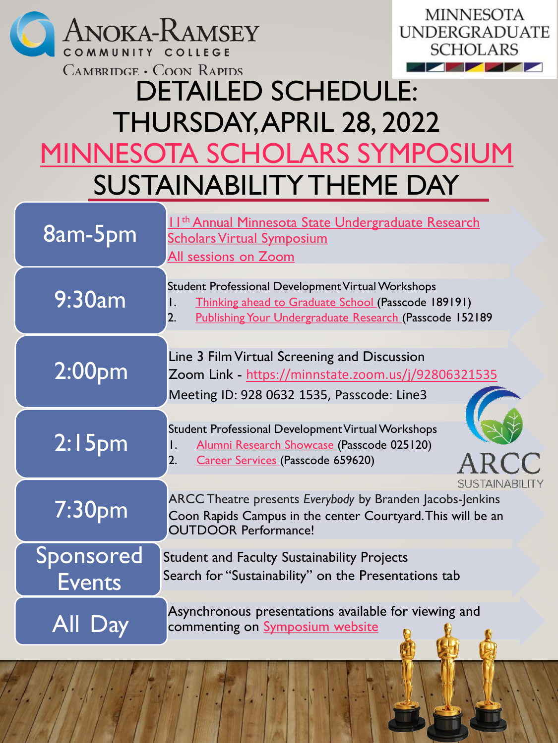



## DETAILED SCHEDULE: THURSDAY, APRIL 28, 2022 [MINNESOTA SCHOLARS SYMPOSIUM](https://docs.google.com/presentation/d/1tOq-yy_LykAmHQ_bjDdCuD58bX3nKXApOvN4_2HTJiw/edit?usp=sharing) SUSTAINABILITY THEME DAY

| 8am-5pm                    | 11 <sup>th</sup> Annual Minnesota State Undergraduate Research<br><b>Scholars Virtual Symposium</b><br>All sessions on Zoom                                                      |
|----------------------------|----------------------------------------------------------------------------------------------------------------------------------------------------------------------------------|
| 9:30am                     | Student Professional Development Virtual Workshops<br>Thinking ahead to Graduate School (Passcode 189191)<br>Ι.<br>2.<br>Publishing Your Undergraduate Research (Passcode 152189 |
| 2:00 <sub>pm</sub>         | Line 3 Film Virtual Screening and Discussion<br>Zoom Link - https://minnstate.zoom.us/j/92806321535<br>Meeting ID: 928 0632 1535, Passcode: Line3                                |
| 2:15 <sub>pm</sub>         | Student Professional Development Virtual Workshops<br>Alumni Research Showcase (Passcode 025120)<br>Ι.<br>Career Services (Passcode 659620)<br>2.                                |
| 7:30 <sub>pm</sub>         | <b>SUSTAINABILITY</b><br>ARCC Theatre presents Everybody by Branden Jacobs-Jenkins<br>Coon Rapids Campus in the center Courtyard. This will be an<br><b>OUTDOOR Performance!</b> |
| Sponsored<br><b>Events</b> | <b>Student and Faculty Sustainability Projects</b><br>Search for "Sustainability" on the Presentations tab                                                                       |
| All Day                    | Asynchronous presentations available for viewing and<br>commenting on <b>Symposium</b> website                                                                                   |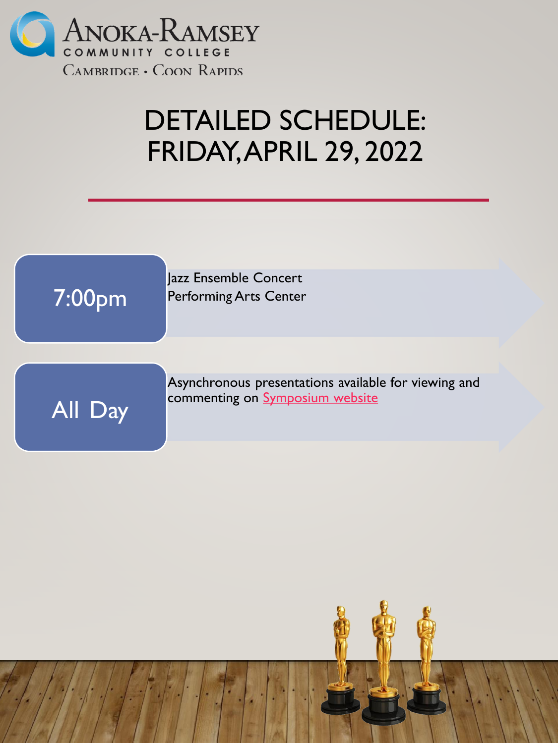

### DETAILED SCHEDULE: FRIDAY, APRIL 29, 2022

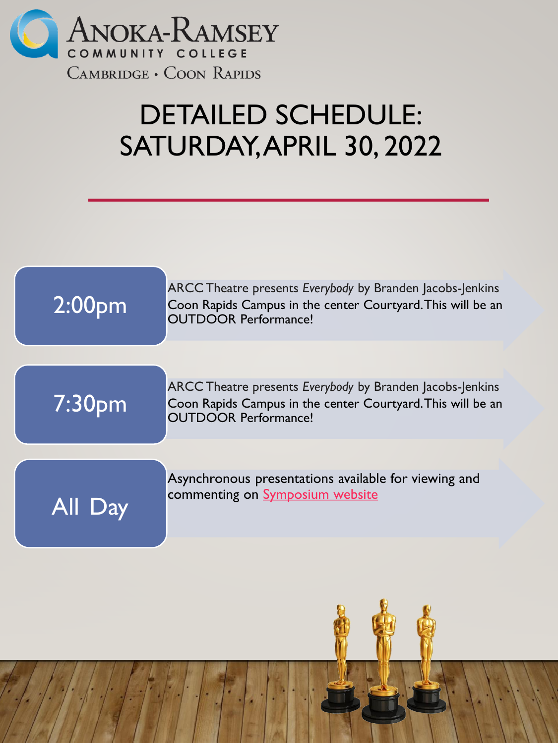

## DETAILED SCHEDULE: SATURDAY, APRIL 30, 2022

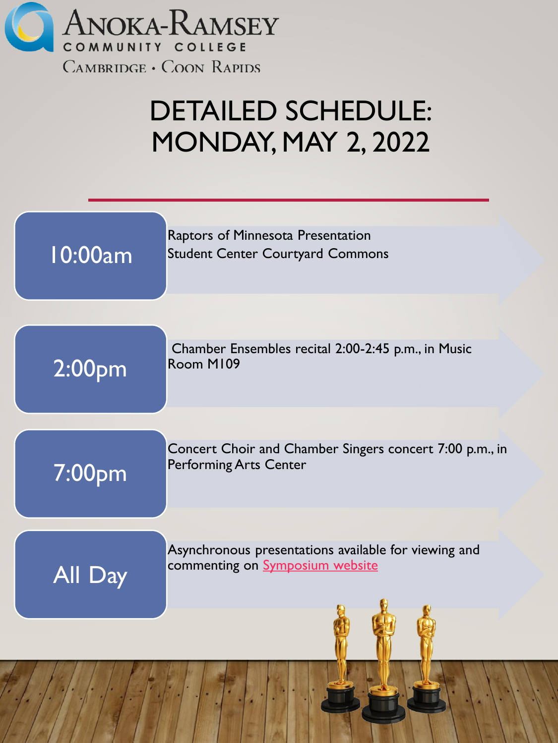

# DETAILED SCHEDULE: MONDAY, MAY 2, 2022

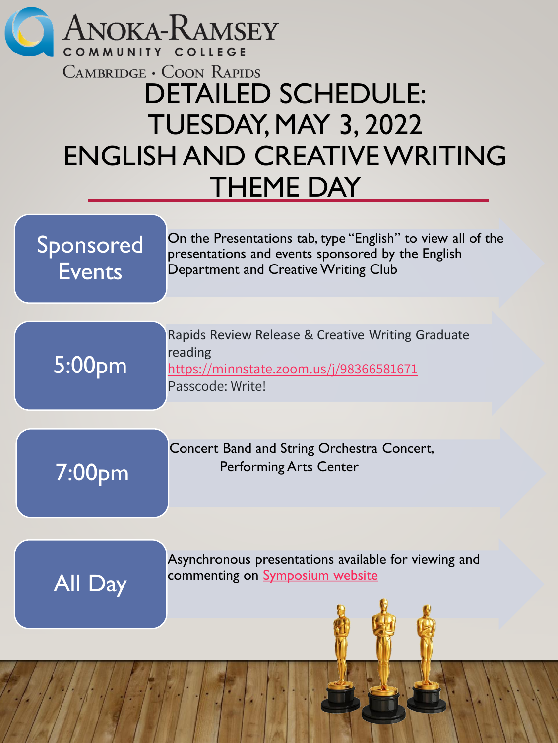